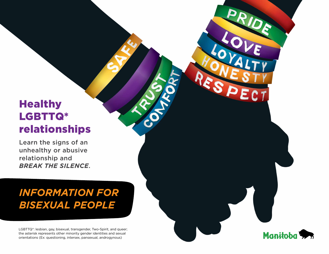# **Healthy** LGBTTQ\* relationships

Learn the signs of an unhealthy or abusive relationship and *break the silence*.

# *Information for BISEXUAL PEOPLE*

LGBTTQ\*: lesbian, gay, bisexual, transgender, Two-Spirit, and queer; the asterisk represents other minority gender identities and sexual orientations (Ex: questioning, intersex, pansexual, androgynous)

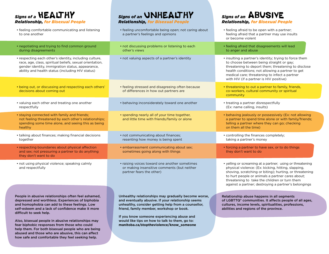**Signs of a <b>HEALTHY** *Relationship, for Bisexual People*

to one another

during disagreements

decisions about coming out

respectfully

healthy

together

they don't want to do

and respectfully

• feeling comfortable communicating and listening

• negotiating and trying to find common ground

• respecting each other's identity, including culture, race, age, class, spiritual beliefs, sexual orientation, gender identity, immigration status, appearance, ability and health status (including HIV status)

• being out, or discussing and respecting each others'

 not feeling threatened by each other's relationships; spending some time alone, and seeing this as being

• talking about finances; making financial decisions

• respecting boundaries about physical affection and sex; not pressuring a partner to do anything

• not using physical violence; speaking calmly

• valuing each other and treating one another

• staying connected with family and friends;

- **Signs of an UNHEALTHY** *Relationship, for Bisexual People*
- feeling uncomfortable being open; not caring about a partner's feelings and opinions
- not discussing problems or listening to each other's views
- not valuing aspects of a partner's identity
- feeling stressed and disagreeing often because of differences in how out partners are
- behaving inconsiderately toward one another
- spending nearly all of your time together, and little time with friends/family or alone
- not communicating about finances; resenting how money is being spent
- embarrassment communicating about sex; sometimes going along with things
- raising voices toward one another sometimes or making insensitive comments (but neither partner fears the other)

People in abusive relationships often feel ashamed, depressed and worthless. Experiences of biphobia and homophobia can add to these feelings. Low self-esteem and a lack of confidence make it more difficult to seek help.

Also, bisexual people in abusive relationships may fear biphobic responses from those who could help them. For both bisexual people who are being abused and those who are abusive, this can affect how safe and comfortable they feel seeking help.

Unhealthy relationships may gradually become worse, and eventually abusive. If your relationship seems unhealthy, consider getting help from a counsellor, friend, family member, workshop or book.

If you know someone experiencing abuse and would like tips on how to talk to them, go to: **manitoba.ca/stoptheviolence/know\_someone**

## **Signs of an ABUSIVE** *Relationship, for Bisexual People*

- feeling afraid to be open with a partner; feeling afraid that a partner may use insults or become violent • feeling afraid that disagreements will lead to anger and abuse • insulting a partner's identity; trying to force them to choose between being straight or gay; threatening to deport them; threatening to disclose health conditions; not allowing a partner to get medical care; threatening to infect a partner with HIV (if a partner is HIV positive) • threatening to out a partner to family, friends,
	- co-workers, cultural community or spiritual community
	- treating a partner disrespectfully (Ex: name calling, insults)
	- behaving jealously or possessively (Ex: not allowing a partner to spend time alone or with family/friends; telling a partner where they can go; checking on them all the time)
	- controlling the finances completely; taking a partner's money
	- forcing a partner to have sex, or to do things they don't want to do
	- yelling or screaming at a partner; using or threatening physical violence: (Ex: kicking, hitting, slapping, shoving, scratching or biting); hurting, or threatening to hurt people or animals a partner cares about; threatening to take the children or turn them against a partner; destroying a partner's belongings

Relationship abuse happens in all segments of LGBTTQ\* communities. It affects people of all ages, cultures, income levels, spiritualities, professions, abilities and regions of the province.